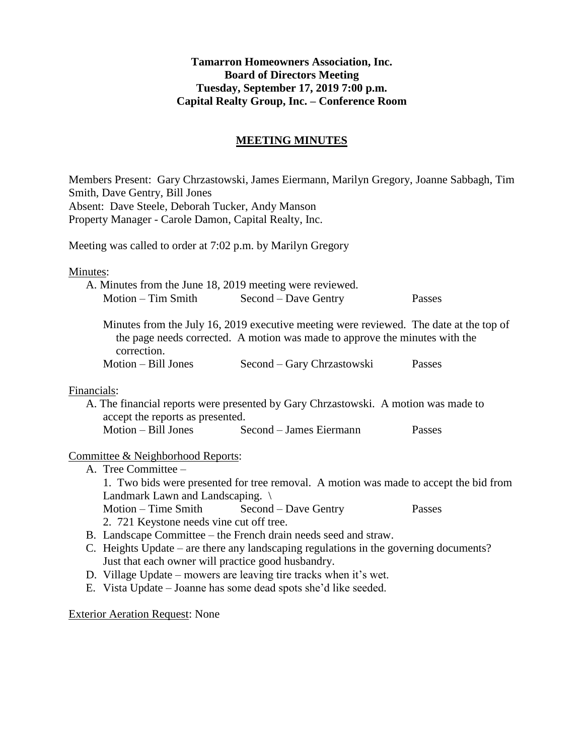## **Tamarron Homeowners Association, Inc. Board of Directors Meeting Tuesday, September 17, 2019 7:00 p.m. Capital Realty Group, Inc. – Conference Room**

## **MEETING MINUTES**

Members Present: Gary Chrzastowski, James Eiermann, Marilyn Gregory, Joanne Sabbagh, Tim Smith, Dave Gentry, Bill Jones Absent: Dave Steele, Deborah Tucker, Andy Manson Property Manager - Carole Damon, Capital Realty, Inc.

Meeting was called to order at 7:02 p.m. by Marilyn Gregory

Minutes:

|                      | A. Minutes from the June 18, 2019 meeting were reviewed. |        |
|----------------------|----------------------------------------------------------|--------|
| $Motion - Tim Smith$ | Second – Dave Gentry                                     | Passes |

Minutes from the July 16, 2019 executive meeting were reviewed. The date at the top of the page needs corrected. A motion was made to approve the minutes with the correction.

Motion – Bill Jones Second – Gary Chrzastowski Passes

## Financials:

A. The financial reports were presented by Gary Chrzastowski. A motion was made to accept the reports as presented. Motion – Bill Jones Second – James Eiermann Passes

## Committee & Neighborhood Reports:

- A. Tree Committee 1. Two bids were presented for tree removal. A motion was made to accept the bid from Landmark Lawn and Landscaping. \ Motion – Time Smith Second – Dave Gentry Passes 2. 721 Keystone needs vine cut off tree. B. Landscape Committee – the French drain needs seed and straw.
- C. Heights Update are there any landscaping regulations in the governing documents? Just that each owner will practice good husbandry.
- D. Village Update mowers are leaving tire tracks when it's wet.
- E. Vista Update Joanne has some dead spots she'd like seeded.

Exterior Aeration Request: None